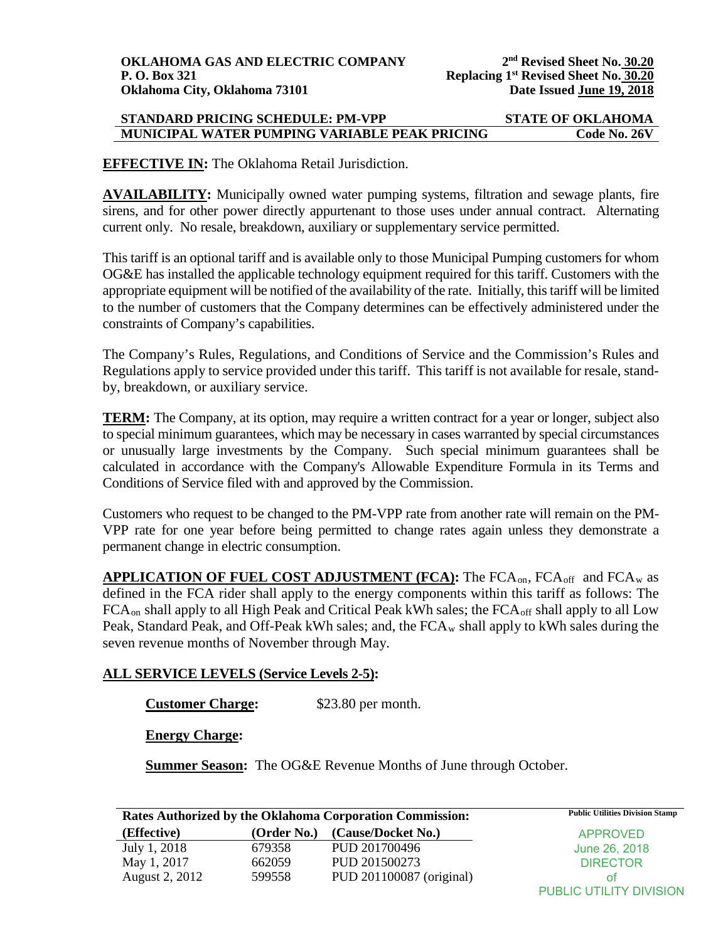## **STANDARD PRICING SCHEDULE: PM-VPP STATE OF OKLAHOMA MUNICIPAL WATER PUMPING VARIABLE PEAK PRICING Code No. 26V**

**EFFECTIVE IN:** The Oklahoma Retail Jurisdiction.

**AVAILABILITY:** Municipally owned water pumping systems, filtration and sewage plants, fire sirens, and for other power directly appurtenant to those uses under annual contract. Alternating current only. No resale, breakdown, auxiliary or supplementary service permitted.

This tariff is an optional tariff and is available only to those Municipal Pumping customers for whom OG&E has installed the applicable technology equipment required for this tariff. Customers with the appropriate equipment will be notified of the availability of the rate. Initially, this tariff will be limited to the number of customers that the Company determines can be effectively administered under the constraints of Company's capabilities.

The Company's Rules, Regulations, and Conditions of Service and the Commission's Rules and Regulations apply to service provided under this tariff. This tariff is not available for resale, standby, breakdown, or auxiliary service.

**TERM:** The Company, at its option, may require a written contract for a year or longer, subject also to special minimum guarantees, which may be necessary in cases warranted by special circumstances or unusually large investments by the Company. Such special minimum guarantees shall be calculated in accordance with the Company's Allowable Expenditure Formula in its Terms and Conditions of Service filed with and approved by the Commission.

Customers who request to be changed to the PM-VPP rate from another rate will remain on the PM-VPP rate for one year before being permitted to change rates again unless they demonstrate a permanent change in electric consumption.

**APPLICATION OF FUEL COST ADJUSTMENT (FCA):** The FCAon, FCAoff and FCAw as defined in the FCA rider shall apply to the energy components within this tariff as follows: The FCA<sub>on</sub> shall apply to all High Peak and Critical Peak kWh sales; the FCA<sub>off</sub> shall apply to all Low Peak, Standard Peak, and Off-Peak kWh sales; and, the  $FCA_w$  shall apply to kWh sales during the seven revenue months of November through May.

## **ALL SERVICE LEVELS (Service Levels 2-5):**

**Customer Charge:** \$23.80 per month.

**Energy Charge:** 

**Summer Season:** The OG&E Revenue Months of June through October.

| <b>Rates Authorized by the Oklahoma Corporation Commission:</b> |             |                          | <b>Public Utilities Division Stamp</b> |
|-----------------------------------------------------------------|-------------|--------------------------|----------------------------------------|
| (Effective)                                                     | (Order No.) | (Cause/Docket No.)       | <b>APPROVED</b>                        |
| July 1, 2018                                                    | 679358      | PUD 201700496            | June 26, 2018                          |
| May 1, 2017                                                     | 662059      | PUD 201500273            | <b>DIRECTOR</b>                        |
| <b>August 2, 2012</b>                                           | 599558      | PUD 201100087 (original) | ΟŤ                                     |
|                                                                 |             |                          | PUBLIC UTILITY DIVISION                |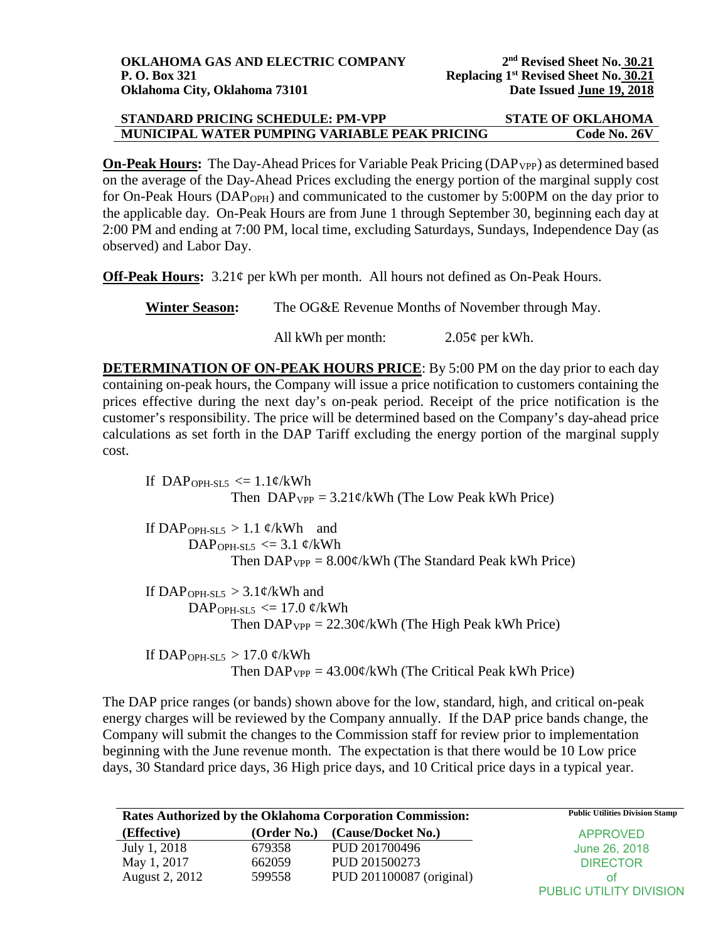| STANDARD PRICING SCHEDULE: PM-VPP             | <b>STATE OF OKLAHOMA</b> |
|-----------------------------------------------|--------------------------|
| MUNICIPAL WATER PUMPING VARIABLE PEAK PRICING | Code No. 26V             |

**On-Peak Hours:** The Day-Ahead Prices for Variable Peak Pricing (DAP<sub>VPP</sub>) as determined based on the average of the Day-Ahead Prices excluding the energy portion of the marginal supply cost for On-Peak Hours (DAP<sub>OPH</sub>) and communicated to the customer by 5:00PM on the day prior to the applicable day. On-Peak Hours are from June 1 through September 30, beginning each day at 2:00 PM and ending at 7:00 PM, local time, excluding Saturdays, Sundays, Independence Day (as observed) and Labor Day.

**Off-Peak Hours:** 3.21¢ per kWh per month. All hours not defined as On-Peak Hours.

**Winter Season:** The OG&E Revenue Months of November through May.

All kWh per month:  $2.05¢$  per kWh.

**DETERMINATION OF ON-PEAK HOURS PRICE:** By 5:00 PM on the day prior to each day containing on-peak hours, the Company will issue a price notification to customers containing the prices effective during the next day's on-peak period. Receipt of the price notification is the customer's responsibility. The price will be determined based on the Company's day-ahead price calculations as set forth in the DAP Tariff excluding the energy portion of the marginal supply cost.

If DAP<sub>OPH-SL5</sub>  $\leq$  1.1¢/kWh Then  $DAP_{VPP} = 3.21 \frac{\epsilon}{kWh}$  (The Low Peak kWh Price)

If DAP<sub>OPH-SL5</sub> > 1.1  $\varphi$ /kWh and DAP<sub>OPH-SL5</sub>  $\leq$  3.1 ¢/kWh Then  $DAP_{VPP} = 8.00 \times /kWh$  (The Standard Peak kWh Price)

If DAP<sub>OPH-SL5</sub>  $> 3.1$ ¢/kWh and DAP<sub>OPH-SL5</sub>  $\leq$  17.0 ¢/kWh Then  $DAP_{VPP} = 22.30 \frac{\epsilon}{kWh}$  (The High Peak kWh Price)

If DAP<sub>OPH-SL5</sub>  $> 17.0$  ¢/kWh Then  $DAP_{VPP} = 43.00 \frac{\cancel{\ }c}{kWh}$  (The Critical Peak kWh Price)

The DAP price ranges (or bands) shown above for the low, standard, high, and critical on-peak energy charges will be reviewed by the Company annually. If the DAP price bands change, the Company will submit the changes to the Commission staff for review prior to implementation beginning with the June revenue month. The expectation is that there would be 10 Low price days, 30 Standard price days, 36 High price days, and 10 Critical price days in a typical year.

| Rates Authorized by the Oklahoma Corporation Commission: |             |                          | <b>Public Utilities Division Stamp</b> |
|----------------------------------------------------------|-------------|--------------------------|----------------------------------------|
| (Effective)                                              | (Order No.) | (Cause/Docket No.)       | <b>APPROVED</b>                        |
| July 1, 2018                                             | 679358      | PUD 201700496            | June 26, 2018                          |
| May 1, 2017                                              | 662059      | PUD 201500273            | <b>DIRECTOR</b>                        |
| August 2, 2012                                           | 599558      | PUD 201100087 (original) | ΟŤ                                     |
|                                                          |             |                          | PUBLIC UTILITY DIVISION                |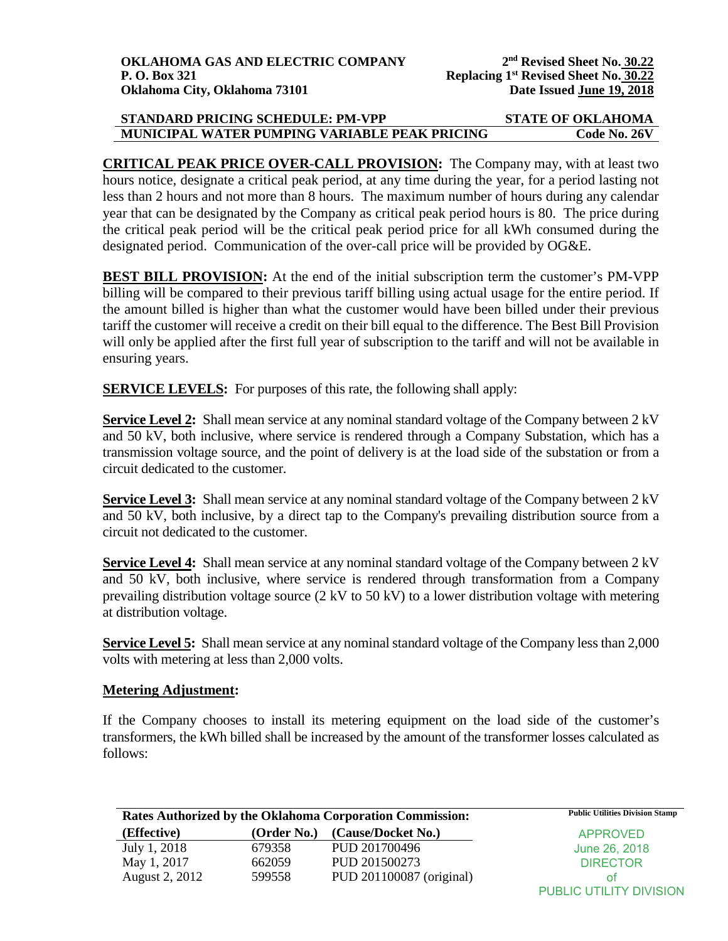| STANDARD PRICING SCHEDULE: PM-VPP             | <b>STATE OF OKLAHOMA</b> |
|-----------------------------------------------|--------------------------|
| MUNICIPAL WATER PUMPING VARIABLE PEAK PRICING | Code No. 26V             |

**CRITICAL PEAK PRICE OVER-CALL PROVISION:** The Company may, with at least two hours notice, designate a critical peak period, at any time during the year, for a period lasting not less than 2 hours and not more than 8 hours. The maximum number of hours during any calendar year that can be designated by the Company as critical peak period hours is 80. The price during the critical peak period will be the critical peak period price for all kWh consumed during the designated period. Communication of the over-call price will be provided by OG&E.

**BEST BILL PROVISION:** At the end of the initial subscription term the customer's PM-VPP billing will be compared to their previous tariff billing using actual usage for the entire period. If the amount billed is higher than what the customer would have been billed under their previous tariff the customer will receive a credit on their bill equal to the difference. The Best Bill Provision will only be applied after the first full year of subscription to the tariff and will not be available in ensuring years.

**SERVICE LEVELS:** For purposes of this rate, the following shall apply:

**Service Level 2:** Shall mean service at any nominal standard voltage of the Company between 2 kV and 50 kV, both inclusive, where service is rendered through a Company Substation, which has a transmission voltage source, and the point of delivery is at the load side of the substation or from a circuit dedicated to the customer.

**Service Level 3:** Shall mean service at any nominal standard voltage of the Company between 2 kV and 50 kV, both inclusive, by a direct tap to the Company's prevailing distribution source from a circuit not dedicated to the customer.

**Service Level 4:** Shall mean service at any nominal standard voltage of the Company between 2 kV and 50 kV, both inclusive, where service is rendered through transformation from a Company prevailing distribution voltage source (2 kV to 50 kV) to a lower distribution voltage with metering at distribution voltage.

**Service Level 5:** Shall mean service at any nominal standard voltage of the Company less than 2,000 volts with metering at less than 2,000 volts.

## **Metering Adjustment:**

If the Company chooses to install its metering equipment on the load side of the customer's transformers, the kWh billed shall be increased by the amount of the transformer losses calculated as follows:

| Rates Authorized by the Oklahoma Corporation Commission: |             |                          | <b>Public Utilities Division Stamp</b> |
|----------------------------------------------------------|-------------|--------------------------|----------------------------------------|
| (Effective)                                              | (Order No.) | (Cause/Docket No.)       | <b>APPROVED</b>                        |
| July 1, 2018                                             | 679358      | PUD 201700496            | June 26, 2018                          |
| May 1, 2017                                              | 662059      | PUD 201500273            | <b>DIRECTOR</b>                        |
| August 2, 2012                                           | 599558      | PUD 201100087 (original) | ΩŤ                                     |
|                                                          |             |                          | PUBLIC UTILITY DIVISION                |